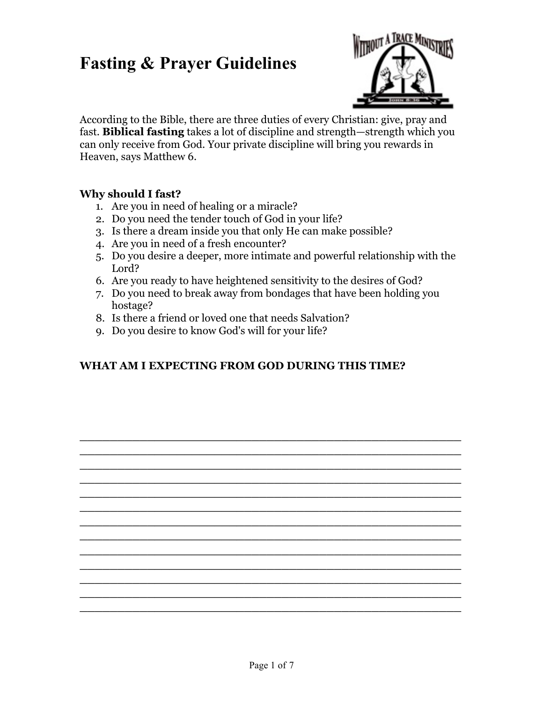

According to the Bible, there are three duties of every Christian: give, pray and fast. **Biblical fasting** takes a lot of discipline and strength—strength which you can only receive from God. Your private discipline will bring you rewards in Heaven, says [Matthew 6.](http://www.biblegateway.com/passage/?search=matthew6;&version=9)

#### **Why should I fast?**

- 1. Are you in need of healing or a miracle?
- 2. Do you need the tender touch of God in your life?
- 3. Is there a dream inside you that only He can make possible?
- 4. Are you in need of a fresh encounter?
- 5. Do you desire a deeper, more intimate and powerful relationship with the Lord?
- 6. Are you ready to have heightened sensitivity to the desires of God?
- 7. Do you need to break away from bondages that have been holding you hostage?

**\_\_\_\_\_\_\_\_\_\_\_\_\_\_\_\_\_\_\_\_\_\_\_\_\_\_\_\_\_\_\_\_\_\_\_\_\_\_\_\_\_\_\_\_\_\_\_\_\_\_\_ \_\_\_\_\_\_\_\_\_\_\_\_\_\_\_\_\_\_\_\_\_\_\_\_\_\_\_\_\_\_\_\_\_\_\_\_\_\_\_\_\_\_\_\_\_\_\_\_\_\_\_ \_\_\_\_\_\_\_\_\_\_\_\_\_\_\_\_\_\_\_\_\_\_\_\_\_\_\_\_\_\_\_\_\_\_\_\_\_\_\_\_\_\_\_\_\_\_\_\_\_\_\_ \_\_\_\_\_\_\_\_\_\_\_\_\_\_\_\_\_\_\_\_\_\_\_\_\_\_\_\_\_\_\_\_\_\_\_\_\_\_\_\_\_\_\_\_\_\_\_\_\_\_\_ \_\_\_\_\_\_\_\_\_\_\_\_\_\_\_\_\_\_\_\_\_\_\_\_\_\_\_\_\_\_\_\_\_\_\_\_\_\_\_\_\_\_\_\_\_\_\_\_\_\_\_ \_\_\_\_\_\_\_\_\_\_\_\_\_\_\_\_\_\_\_\_\_\_\_\_\_\_\_\_\_\_\_\_\_\_\_\_\_\_\_\_\_\_\_\_\_\_\_\_\_\_\_ \_\_\_\_\_\_\_\_\_\_\_\_\_\_\_\_\_\_\_\_\_\_\_\_\_\_\_\_\_\_\_\_\_\_\_\_\_\_\_\_\_\_\_\_\_\_\_\_\_\_\_ \_\_\_\_\_\_\_\_\_\_\_\_\_\_\_\_\_\_\_\_\_\_\_\_\_\_\_\_\_\_\_\_\_\_\_\_\_\_\_\_\_\_\_\_\_\_\_\_\_\_\_ \_\_\_\_\_\_\_\_\_\_\_\_\_\_\_\_\_\_\_\_\_\_\_\_\_\_\_\_\_\_\_\_\_\_\_\_\_\_\_\_\_\_\_\_\_\_\_\_\_\_\_ \_\_\_\_\_\_\_\_\_\_\_\_\_\_\_\_\_\_\_\_\_\_\_\_\_\_\_\_\_\_\_\_\_\_\_\_\_\_\_\_\_\_\_\_\_\_\_\_\_\_\_ \_\_\_\_\_\_\_\_\_\_\_\_\_\_\_\_\_\_\_\_\_\_\_\_\_\_\_\_\_\_\_\_\_\_\_\_\_\_\_\_\_\_\_\_\_\_\_\_\_\_\_ \_\_\_\_\_\_\_\_\_\_\_\_\_\_\_\_\_\_\_\_\_\_\_\_\_\_\_\_\_\_\_\_\_\_\_\_\_\_\_\_\_\_\_\_\_\_\_\_\_\_\_ \_\_\_\_\_\_\_\_\_\_\_\_\_\_\_\_\_\_\_\_\_\_\_\_\_\_\_\_\_\_\_\_\_\_\_\_\_\_\_\_\_\_\_\_\_\_\_\_\_\_\_**

- 8. Is there a friend or loved one that needs Salvation?
- 9. Do you desire to know God's will for your life?

### **WHAT AM I EXPECTING FROM GOD DURING THIS TIME?**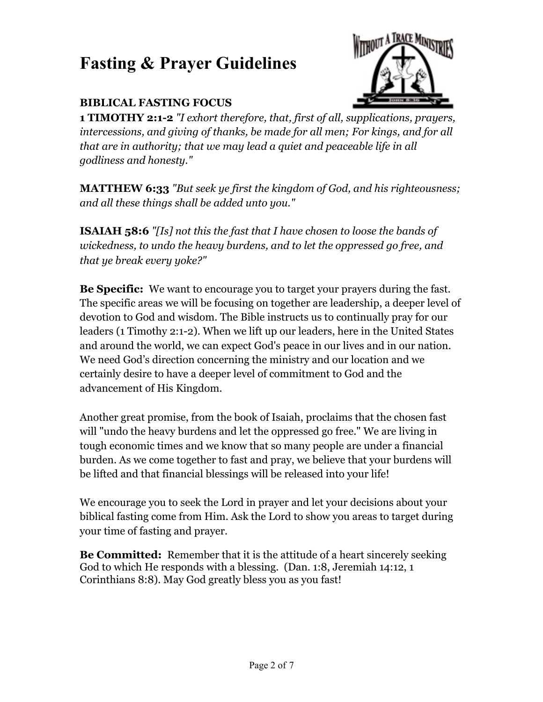### **BIBLICAL FASTING FOCUS**



**1 TIMOTHY 2:1-2** *"I exhort therefore, that, first of all, supplications, prayers, intercessions, and giving of thanks, be made for all men; For kings, and for all that are in authority; that we may lead a quiet and peaceable life in all godliness and honesty."*

**MATTHEW 6:33** *"But seek ye first the kingdom of God, and his righteousness; and all these things shall be added unto you."*

**ISAIAH 58:6** *"[Is] not this the fast that I have chosen to loose the bands of wickedness, to undo the heavy burdens, and to let the oppressed go free, and that ye break every yoke?"*

**Be Specific:** We want to encourage you to target your prayers during the fast. The specific areas we will be focusing on together are leadership, a deeper level of devotion to God and wisdom. The Bible instructs us to continually pray for our leaders (1 Timothy 2:1-2). When we lift up our leaders, here in the United States and around the world, we can expect God's peace in our lives and in our nation. We need God's direction concerning the ministry and our location and we certainly desire to have a deeper level of commitment to God and the advancement of His Kingdom.

Another great promise, from the book of Isaiah, proclaims that the chosen fast will "undo the heavy burdens and let the oppressed go free." We are living in tough economic times and we know that so many people are under a financial burden. As we come together to fast and pray, we believe that your burdens will be lifted and that financial blessings will be released into your life!

We encourage you to seek the Lord in prayer and let your decisions about your biblical fasting come from Him. Ask the Lord to show you areas to target during your time of fasting and prayer.

**Be Committed:** Remember that it is the attitude of a heart sincerely seeking God to which He responds with a blessing. (Dan. 1:8, [Jeremiah 14:12,](http://www.biblegateway.com/passage/?search=Jeremiah14:12;&version=9;) [1](http://www.biblegateway.com/passage/?search=1Corinthians8:8;&version=9;)  [Corinthians 8:8\)](http://www.biblegateway.com/passage/?search=1Corinthians8:8;&version=9;). May God greatly bless you as you fast!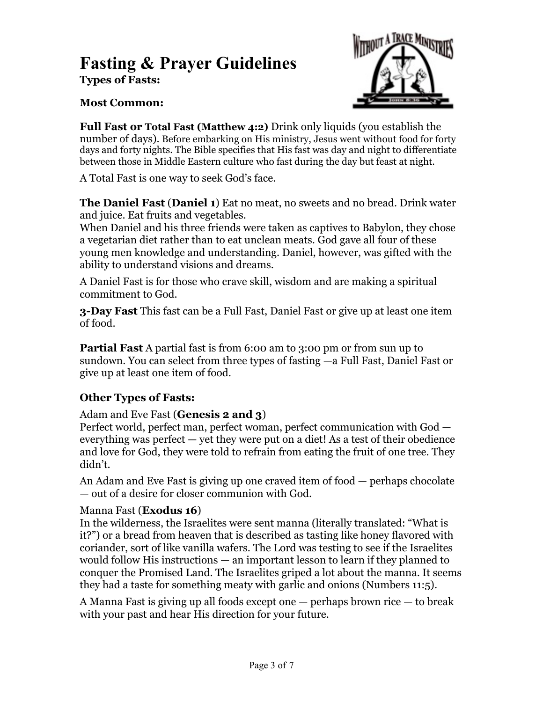## **Types of Fasts: Fasting & Prayer Guidelines**



### **Most Common:**

**Full Fast or Total Fast [\(Matthew 4:2\)](http://www.biblestudytools.com/OnlineStudyBible/bible.cgi?word=mt+4:2&version=niv)** Drink only liquids (you establish the number of days). Before embarking on His ministry, Jesus went without food for forty days and forty nights. The Bible specifies that His fast was day and night to differentiate between those in Middle Eastern culture who fast during the day but feast at night.

A Total Fast is one way to seek God's face.

**The Daniel Fast** (**[Daniel 1](http://www.biblestudytools.com/OnlineStudyBible/bible.cgi?word=da+1&version=niv)**) Eat no meat, no sweets and no bread. Drink water and juice. Eat fruits and vegetables.

When Daniel and his three friends were taken as captives to Babylon, they chose a vegetarian diet rather than to eat unclean meats. God gave all four of these young men knowledge and understanding. Daniel, however, was gifted with the ability to understand visions and dreams.

A Daniel Fast is for those who crave skill, wisdom and are making a spiritual commitment to God.

**3-Day Fast** This fast can be a Full Fast, Daniel Fast or give up at least one item of food.

**Partial Fast** A partial fast is from 6:00 am to 3:00 pm or from sun up to sundown. You can select from three types of fasting —a Full Fast, Daniel Fast or give up at least one item of food.

### **Other Types of Fasts:**

#### Adam and Eve Fast (**[Genesis 2 and 3](http://www.biblestudytools.com/OnlineStudyBible/bible.cgi?word=ge+2&version=niv)**)

Perfect world, perfect man, perfect woman, perfect communication with God everything was perfect — yet they were put on a diet! As a test of their obedience and love for God, they were told to refrain from eating the fruit of one tree. They didn't.

An Adam and Eve Fast is giving up one craved item of food — perhaps chocolate — out of a desire for closer communion with God.

#### Manna Fast (**[Exodus 16](http://www.biblestudytools.com/OnlineStudyBible/bible.cgi?word=ex+16&version=niv)**)

In the wilderness, the Israelites were sent manna (literally translated: "What is it?") or a bread from heaven that is described as tasting like honey flavored with coriander, sort of like vanilla wafers. The Lord was testing to see if the Israelites would follow His instructions — an important lesson to learn if they planned to conquer the Promised Land. The Israelites griped a lot about the manna. It seems they had a taste for something meaty with garlic and onions ([Numbers 11:5](http://www.biblestudytools.com/OnlineStudyBible/bible.cgi?word=nu+11:5&version=niv)).

A Manna Fast is giving up all foods except one — perhaps brown rice — to break with your past and hear His direction for your future.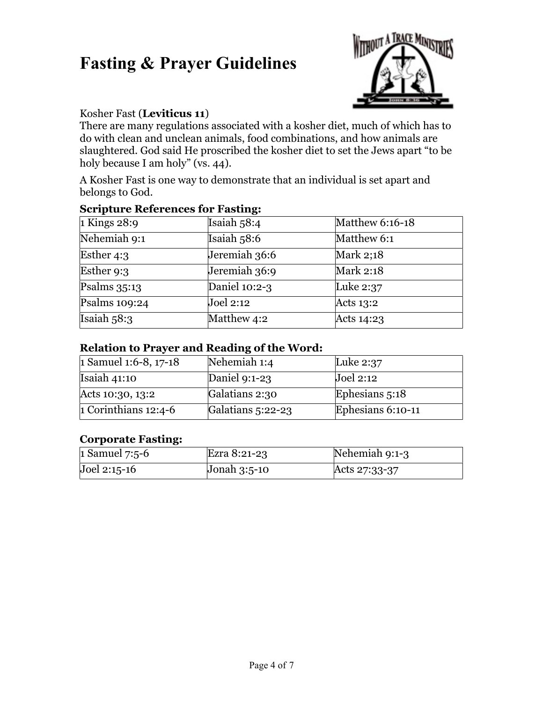

#### Kosher Fast (**[Leviticus 11](http://www.biblestudytools.com/OnlineStudyBible/bible.cgi?word=le+11&version=niv)**)

There are many regulations associated with a kosher diet, much of which has to do with clean and unclean animals, food combinations, and how animals are slaughtered. God said He proscribed the kosher diet to set the Jews apart "to be holy because I am holy" (vs. 44).

A Kosher Fast is one way to demonstrate that an individual is set apart and belongs to God.

| $\sim$ and $\sim$ and $\sim$ and $\sim$ and $\sim$ and $\sim$ |               |                 |  |
|---------------------------------------------------------------|---------------|-----------------|--|
| 1 Kings $28:9$                                                | Isaiah 58:4   | Matthew 6:16-18 |  |
| Nehemiah 9:1                                                  | Isaiah $58:6$ | Matthew 6:1     |  |
| Esther 4:3                                                    | Jeremiah 36:6 | Mark 2;18       |  |
| Esther 9:3                                                    | Jeremiah 36:9 | Mark 2:18       |  |
| Psalms $35:13$                                                | Daniel 10:2-3 | Luke 2:37       |  |
| Psalms $109:24$                                               | Joel 2:12     | Acts 13:2       |  |
| Isaiah $58:3$                                                 | Matthew 4:2   | Acts 14:23      |  |

#### **Scripture References for Fasting:**

#### **Relation to Prayer and Reading of the Word:**

| 1 Samuel 1:6-8, $17-18$ | Nehemiah 1:4        | Luke $2:37$       |
|-------------------------|---------------------|-------------------|
| Isaiah $41:10$          | Daniel $9:1-23$     | Joel 2:12         |
| Acts 10:30, 13:2        | Galatians 2:30      | Ephesians 5:18    |
| 1 Corinthians $12:4-6$  | Galatians $5:22-23$ | Ephesians 6:10-11 |

### **Corporate Fasting:**

| 1 Samuel $7:5-6$ | Ezra 8:21-23   | Nehemiah 9:1-3 |
|------------------|----------------|----------------|
| $Joel 2:15-16$   | Jonah $3:5-10$ | Acts 27:33-37  |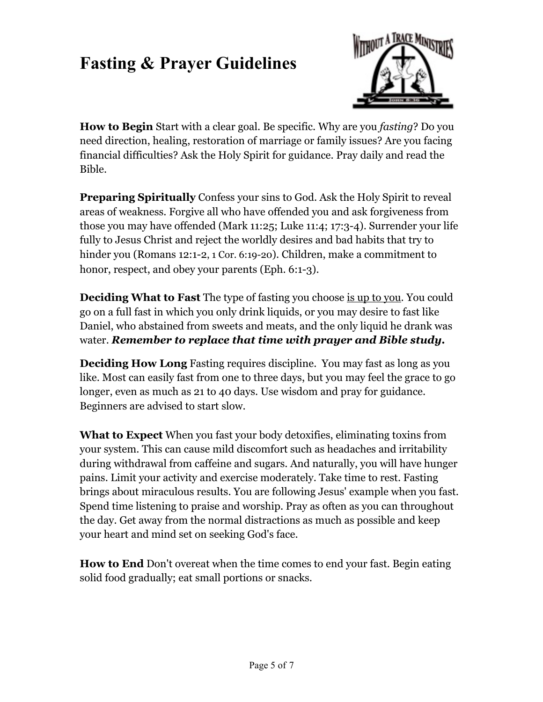

**How to Begin** Start with a clear goal. Be specific. Why are you *fasting*? Do you need direction, healing, restoration of marriage or family issues? Are you facing financial difficulties? Ask the Holy Spirit for guidance. Pray daily and read the Bible.

**Preparing Spiritually** Confess your sins to God. Ask the Holy Spirit to reveal areas of weakness. Forgive all who have offended you and ask forgiveness from those you may have offended ([Mark 11:25](http://www.biblegateway.com/passage/?search=Mark11:25;&version=9;); [Luke 11:4](http://www.biblegateway.com/passage/?search=Luke11:4;&version=9;); [17:3-4\)](http://www.biblegateway.com/passage/?search=Luke17:3-4;&version=9;). Surrender your life fully to Jesus Christ and reject the worldly desires and bad habits that try to hinder you ([Romans 12:1-2](http://www.biblegateway.com/passage/?search=Romans12:1-2;&version=9;), 1 Cor. 6:19-20). Children, make a commitment to honor, respect, and obey your parents (Eph. 6:1-3).

**Deciding What to Fast** The type of fasting you choose is up to you. You could go on a full fast in which you only drink liquids, or you may desire to fast like Daniel, who abstained from sweets and meats, and the only liquid he drank was water. *Remember to replace that time with prayer and Bible study.* 

**Deciding How Long** Fasting requires discipline. You may fast as long as you like. Most can easily fast from one to three days, but you may feel the grace to go longer, even as much as 21 to 40 days. Use wisdom and pray for guidance. Beginners are advised to start slow.

**What to Expect** When you fast your body detoxifies, eliminating toxins from your system. This can cause mild discomfort such as headaches and irritability during withdrawal from caffeine and sugars. And naturally, you will have hunger pains. Limit your activity and exercise moderately. Take time to rest. Fasting brings about miraculous results. You are following Jesus' example when you fast. Spend time listening to praise and worship. Pray as often as you can throughout the day. Get away from the normal distractions as much as possible and keep your heart and mind set on seeking God's face.

**How to End** Don't overeat when the time comes to end your fast. Begin eating solid food gradually; eat small portions or snacks.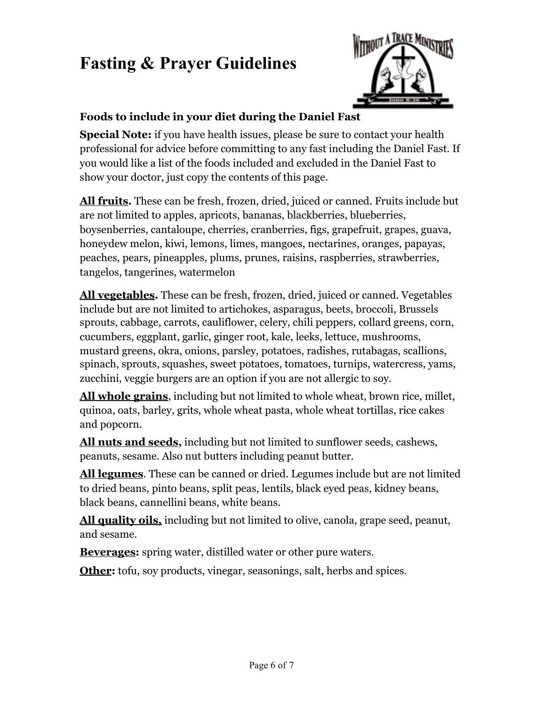

### **Foods to include in your diet during the Daniel Fast**

**Special Note:** if you have health issues, please be sure to contact your health professional for advice before committing to any fast including the Daniel Fast. If you would like a list of the foods included and excluded in the Daniel Fast to show your doctor, just copy the contents of this page.

**All fruits.** These can be fresh, frozen, dried, juiced or canned. Fruits include but are not limited to apples, apricots, bananas, blackberries, blueberries, boysenberries, cantaloupe, cherries, cranberries, figs, grapefruit, grapes, guava, honeydew melon, kiwi, lemons, limes, mangoes, nectarines, oranges, papayas, peaches, pears, pineapples, plums, prunes, raisins, raspberries, strawberries, tangelos, tangerines, watermelon

**All vegetables.** These can be fresh, frozen, dried, juiced or canned. Vegetables include but are not limited to artichokes, asparagus, beets, broccoli, Brussels sprouts, cabbage, carrots, cauliflower, celery, chili peppers, collard greens, corn, cucumbers, eggplant, garlic, ginger root, kale, leeks, lettuce, mushrooms, mustard greens, okra, onions, parsley, potatoes, radishes, rutabagas, scallions, spinach, sprouts, squashes, sweet potatoes, tomatoes, turnips, watercress, yams, zucchini, veggie burgers are an option if you are not allergic to soy.

**All whole grains**, including but not limited to whole wheat, brown rice, millet, quinoa, oats, barley, grits, whole wheat pasta, whole wheat tortillas, rice cakes and popcorn.

**All nuts and seeds,** including but not limited to sunflower seeds, cashews, peanuts, sesame. Also nut butters including peanut butter.

**All legumes**. These can be canned or dried. Legumes include but are not limited to dried beans, pinto beans, split peas, lentils, black eyed peas, kidney beans, black beans, cannellini beans, white beans.

**All quality oils,** including but not limited to olive, canola, grape seed, peanut, and sesame.

**Beverages:** spring water, distilled water or other pure waters.

**Other:** tofu, soy products, vinegar, seasonings, salt, herbs and spices.